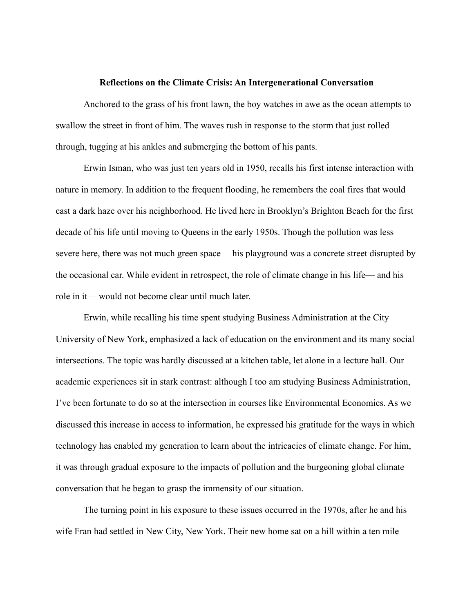## **Reflections on the Climate Crisis: An Intergenerational Conversation**

Anchored to the grass of his front lawn, the boy watches in awe as the ocean attempts to swallow the street in front of him. The waves rush in response to the storm that just rolled through, tugging at his ankles and submerging the bottom of his pants.

Erwin Isman, who was just ten years old in 1950, recalls his first intense interaction with nature in memory. In addition to the frequent flooding, he remembers the coal fires that would cast a dark haze over his neighborhood. He lived here in Brooklyn's Brighton Beach for the first decade of his life until moving to Queens in the early 1950s. Though the pollution was less severe here, there was not much green space— his playground was a concrete street disrupted by the occasional car. While evident in retrospect, the role of climate change in his life–– and his role in it–– would not become clear until much later.

Erwin, while recalling his time spent studying Business Administration at the City University of New York, emphasized a lack of education on the environment and its many social intersections. The topic was hardly discussed at a kitchen table, let alone in a lecture hall. Our academic experiences sit in stark contrast: although I too am studying Business Administration, I've been fortunate to do so at the intersection in courses like Environmental Economics. As we discussed this increase in access to information, he expressed his gratitude for the ways in which technology has enabled my generation to learn about the intricacies of climate change. For him, it was through gradual exposure to the impacts of pollution and the burgeoning global climate conversation that he began to grasp the immensity of our situation.

The turning point in his exposure to these issues occurred in the 1970s, after he and his wife Fran had settled in New City, New York. Their new home sat on a hill within a ten mile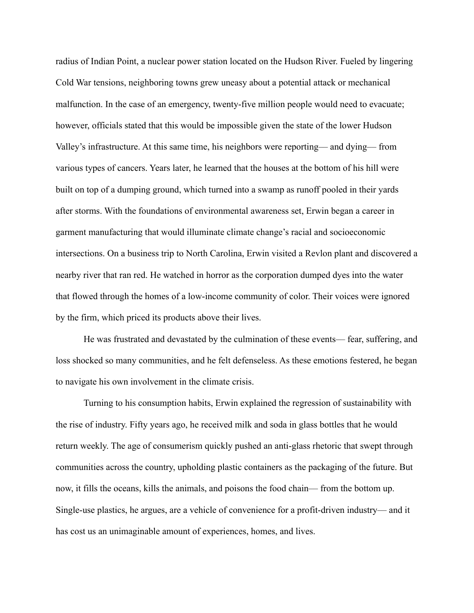radius of Indian Point, a nuclear power station located on the Hudson River. Fueled by lingering Cold War tensions, neighboring towns grew uneasy about a potential attack or mechanical malfunction. In the case of an emergency, twenty-five million people would need to evacuate; however, officials stated that this would be impossible given the state of the lower Hudson Valley's infrastructure. At this same time, his neighbors were reporting–– and dying–– from various types of cancers. Years later, he learned that the houses at the bottom of his hill were built on top of a dumping ground, which turned into a swamp as runoff pooled in their yards after storms. With the foundations of environmental awareness set, Erwin began a career in garment manufacturing that would illuminate climate change's racial and socioeconomic intersections. On a business trip to North Carolina, Erwin visited a Revlon plant and discovered a nearby river that ran red. He watched in horror as the corporation dumped dyes into the water that flowed through the homes of a low-income community of color. Their voices were ignored by the firm, which priced its products above their lives.

He was frustrated and devastated by the culmination of these events—fear, suffering, and loss shocked so many communities, and he felt defenseless. As these emotions festered, he began to navigate his own involvement in the climate crisis.

Turning to his consumption habits, Erwin explained the regression of sustainability with the rise of industry. Fifty years ago, he received milk and soda in glass bottles that he would return weekly. The age of consumerism quickly pushed an anti-glass rhetoric that swept through communities across the country, upholding plastic containers as the packaging of the future. But now, it fills the oceans, kills the animals, and poisons the food chain–– from the bottom up. Single-use plastics, he argues, are a vehicle of convenience for a profit-driven industry–– and it has cost us an unimaginable amount of experiences, homes, and lives.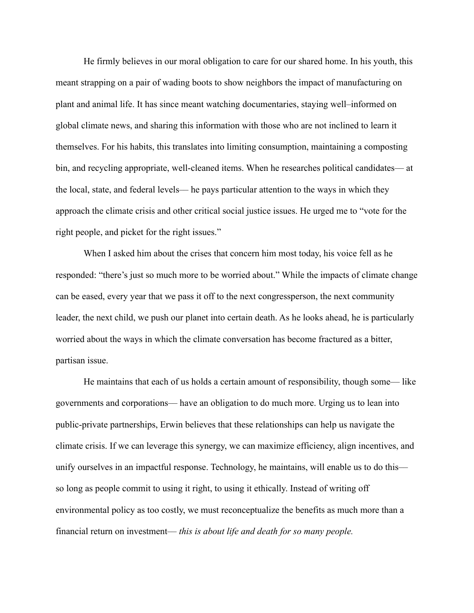He firmly believes in our moral obligation to care for our shared home. In his youth, this meant strapping on a pair of wading boots to show neighbors the impact of manufacturing on plant and animal life. It has since meant watching documentaries, staying well–informed on global climate news, and sharing this information with those who are not inclined to learn it themselves. For his habits, this translates into limiting consumption, maintaining a composting bin, and recycling appropriate, well-cleaned items. When he researches political candidates—at the local, state, and federal levels–– he pays particular attention to the ways in which they approach the climate crisis and other critical social justice issues. He urged me to "vote for the right people, and picket for the right issues."

When I asked him about the crises that concern him most today, his voice fell as he responded: "there's just so much more to be worried about." While the impacts of climate change can be eased, every year that we pass it off to the next congressperson, the next community leader, the next child, we push our planet into certain death. As he looks ahead, he is particularly worried about the ways in which the climate conversation has become fractured as a bitter, partisan issue.

He maintains that each of us holds a certain amount of responsibility, though some–– like governments and corporations–– have an obligation to do much more. Urging us to lean into public-private partnerships, Erwin believes that these relationships can help us navigate the climate crisis. If we can leverage this synergy, we can maximize efficiency, align incentives, and unify ourselves in an impactful response. Technology, he maintains, will enable us to do this so long as people commit to using it right, to using it ethically. Instead of writing off environmental policy as too costly, we must reconceptualize the benefits as much more than a financial return on investment–– *this is about life and death for so many people.*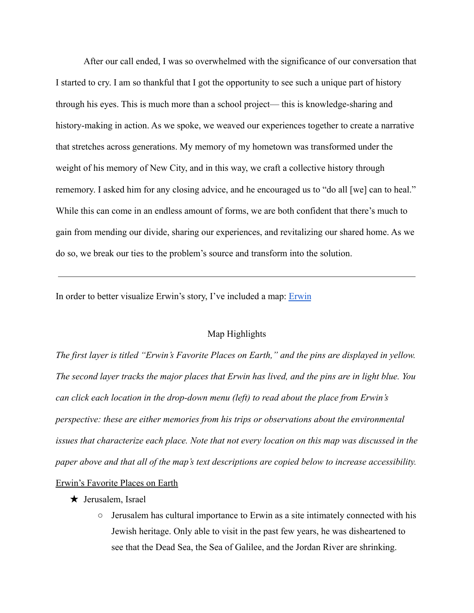After our call ended, I was so overwhelmed with the significance of our conversation that I started to cry. I am so thankful that I got the opportunity to see such a unique part of history through his eyes. This is much more than a school project–– this is knowledge-sharing and history-making in action. As we spoke, we weaved our experiences together to create a narrative that stretches across generations. My memory of my hometown was transformed under the weight of his memory of New City, and in this way, we craft a collective history through rememory. I asked him for any closing advice, and he encouraged us to "do all [we] can to heal." While this can come in an endless amount of forms, we are both confident that there's much to gain from mending our divide, sharing our experiences, and revitalizing our shared home. As we do so, we break our ties to the problem's source and transform into the solution.

In order to better visualize [Erwin](https://www.google.com/maps/d/edit?mid=1CRueHBks3MxXOcFE3yXMmh1sc9B5aGhK&usp=sharing)'s story, I've included a map: **Erwin** 

## Map Highlights

*The first layer is titled "Erwin's Favorite Places on Earth," and the pins are displayed in yellow. The second layer tracks the major places that Erwin has lived, and the pins are in light blue. You can click each location in the drop-down menu (left) to read about the place from Erwin's perspective: these are either memories from his trips or observations about the environmental issues that characterize each place. Note that not every location on this map was discussed in the paper above and that all of the map's text descriptions are copied below to increase accessibility.*

## Erwin's Favorite Places on Earth

- $\star$  Jerusalem, Israel
	- Jerusalem has cultural importance to Erwin as a site intimately connected with his Jewish heritage. Only able to visit in the past few years, he was disheartened to see that the Dead Sea, the Sea of Galilee, and the Jordan River are shrinking.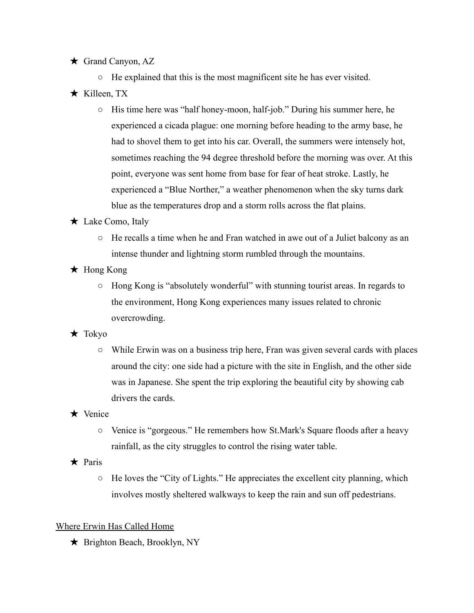★ Grand Canyon, AZ

○ He explained that this is the most magnificent site he has ever visited.

- $\star$  Killeen, TX
	- His time here was "half honey-moon, half-job." During his summer here, he experienced a cicada plague: one morning before heading to the army base, he had to shovel them to get into his car. Overall, the summers were intensely hot, sometimes reaching the 94 degree threshold before the morning was over. At this point, everyone was sent home from base for fear of heat stroke. Lastly, he experienced a "Blue Norther," a weather phenomenon when the sky turns dark blue as the temperatures drop and a storm rolls across the flat plains.
- ★ Lake Como, Italy
	- He recalls a time when he and Fran watched in awe out of a Juliet balcony as an intense thunder and lightning storm rumbled through the mountains.
- ★ Hong Kong
	- Hong Kong is "absolutely wonderful" with stunning tourist areas. In regards to the environment, Hong Kong experiences many issues related to chronic overcrowding.
- $\star$  Tokyo
	- $\circ$  While Erwin was on a business trip here, Fran was given several cards with places around the city: one side had a picture with the site in English, and the other side was in Japanese. She spent the trip exploring the beautiful city by showing cab drivers the cards.
- ★ Venice
	- Venice is "gorgeous." He remembers how St.Mark's Square floods after a heavy rainfall, as the city struggles to control the rising water table.
- ★ Paris
	- He loves the "City of Lights." He appreciates the excellent city planning, which involves mostly sheltered walkways to keep the rain and sun off pedestrians.

## Where Erwin Has Called Home

★ Brighton Beach, Brooklyn, NY